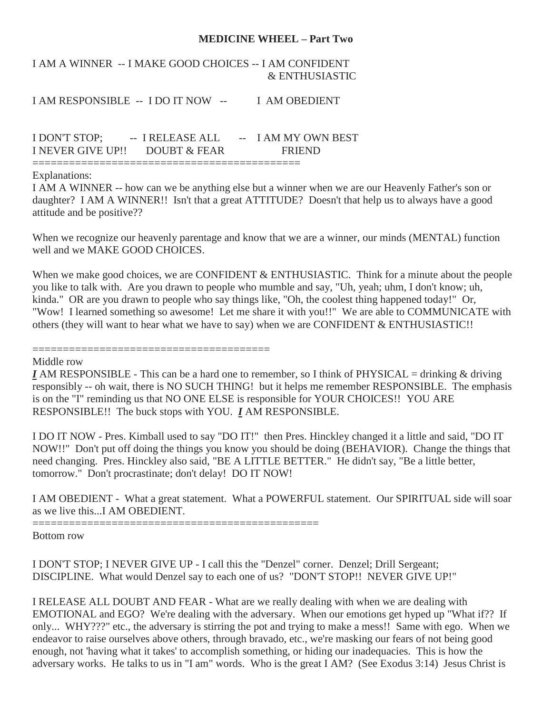## **MEDICINE WHEEL – Part Two**

I AM A WINNER -- I MAKE GOOD CHOICES -- I AM CONFIDENT & ENTHUSIASTIC

I AM RESPONSIBLE -- I DO IT NOW -- I AM OBEDIENT

I DON'T STOP; -- I RELEASE ALL -- I AM MY OWN BEST I NEVER GIVE UP!! DOUBT & FEAR FRIEND

============================================

## Explanations:

I AM A WINNER -- how can we be anything else but a winner when we are our Heavenly Father's son or daughter? I AM A WINNER!! Isn't that a great ATTITUDE? Doesn't that help us to always have a good attitude and be positive??

When we recognize our heavenly parentage and know that we are a winner, our minds (MENTAL) function well and we MAKE GOOD CHOICES.

When we make good choices, we are CONFIDENT & ENTHUSIASTIC. Think for a minute about the people you like to talk with. Are you drawn to people who mumble and say, "Uh, yeah; uhm, I don't know; uh, kinda." OR are you drawn to people who say things like, "Oh, the coolest thing happened today!" Or, "Wow! I learned something so awesome! Let me share it with you!!" We are able to COMMUNICATE with others (they will want to hear what we have to say) when we are CONFIDENT & ENTHUSIASTIC!!

======================================= Middle row

*I* AM RESPONSIBLE - This can be a hard one to remember, so I think of PHYSICAL = drinking & driving responsibly -- oh wait, there is NO SUCH THING! but it helps me remember RESPONSIBLE. The emphasis is on the "I" reminding us that NO ONE ELSE is responsible for YOUR CHOICES!! YOU ARE RESPONSIBLE!! The buck stops with YOU. *I* AM RESPONSIBLE.

I DO IT NOW - Pres. Kimball used to say "DO IT!" then Pres. Hinckley changed it a little and said, "DO IT NOW!!" Don't put off doing the things you know you should be doing (BEHAVIOR). Change the things that need changing. Pres. Hinckley also said, "BE A LITTLE BETTER." He didn't say, "Be a little better, tomorrow." Don't procrastinate; don't delay! DO IT NOW!

I AM OBEDIENT - What a great statement. What a POWERFUL statement. Our SPIRITUAL side will soar as we live this...I AM OBEDIENT.

===============================================

Bottom row

I DON'T STOP; I NEVER GIVE UP - I call this the "Denzel" corner. Denzel; Drill Sergeant; DISCIPLINE. What would Denzel say to each one of us? "DON'T STOP!! NEVER GIVE UP!"

I RELEASE ALL DOUBT AND FEAR - What are we really dealing with when we are dealing with EMOTIONAL and EGO? We're dealing with the adversary. When our emotions get hyped up "What if?? If only... WHY???" etc., the adversary is stirring the pot and trying to make a mess!! Same with ego. When we endeavor to raise ourselves above others, through bravado, etc., we're masking our fears of not being good enough, not 'having what it takes' to accomplish something, or hiding our inadequacies. This is how the adversary works. He talks to us in "I am" words. Who is the great I AM? (See Exodus 3:14) Jesus Christ is